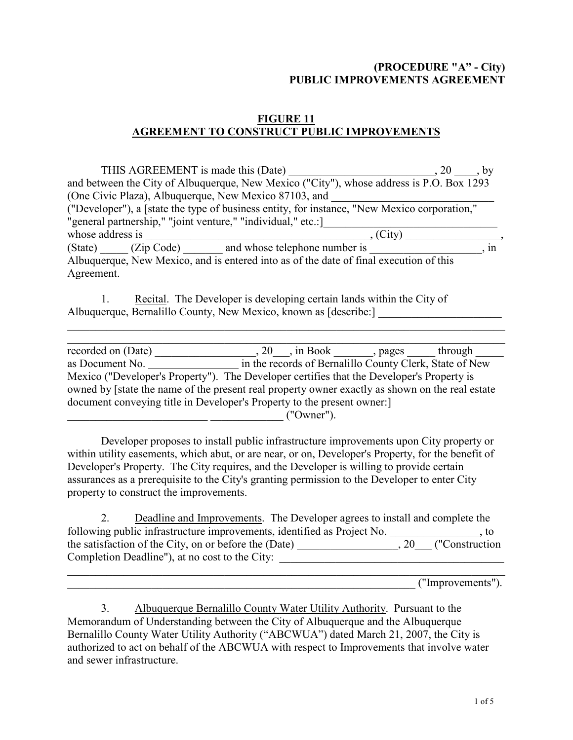## (PROCEDURE "A" - City) PUBLIC IMPROVEMENTS AGREEMENT

## FIGURE 11 AGREEMENT TO CONSTRUCT PUBLIC IMPROVEMENTS

| THIS AGREEMENT is made this (Date)                                                           | $\cdot$ 20<br>. by |
|----------------------------------------------------------------------------------------------|--------------------|
| and between the City of Albuquerque, New Mexico ("City"), whose address is P.O. Box 1293     |                    |
| (One Civic Plaza), Albuquerque, New Mexico 87103, and                                        |                    |
| ("Developer"), a [state the type of business entity, for instance, "New Mexico corporation," |                    |
| "general partnership," "joint venture," "individual," etc.:                                  |                    |
| whose address is                                                                             | $(City)$ .         |
| (State) (Zip Code) and whose telephone number is                                             | 1n                 |
| Albuquerque, New Mexico, and is entered into as of the date of final execution of this       |                    |
| Agreement.                                                                                   |                    |
|                                                                                              |                    |

|  | Recital. The Developer is developing certain lands within the City of |  |
|--|-----------------------------------------------------------------------|--|
|  | Albuquerque, Bernalillo County, New Mexico, known as [describe:]      |  |

| recorded on (Date)                                                                              | $, 20$ , in Book, pages |                                                         | through |
|-------------------------------------------------------------------------------------------------|-------------------------|---------------------------------------------------------|---------|
| as Document No.                                                                                 |                         | in the records of Bernalillo County Clerk, State of New |         |
| Mexico ("Developer's Property"). The Developer certifies that the Developer's Property is       |                         |                                                         |         |
| owned by [state the name of the present real property owner exactly as shown on the real estate |                         |                                                         |         |
| document conveying title in Developer's Property to the present owner:                          |                         |                                                         |         |
|                                                                                                 |                         |                                                         |         |

 $\_$  , and the contribution of the contribution of the contribution of the contribution of  $\mathcal{L}_\text{max}$ 

 $($ "Owner").

Developer proposes to install public infrastructure improvements upon City property or within utility easements, which abut, or are near, or on, Developer's Property, for the benefit of Developer's Property. The City requires, and the Developer is willing to provide certain assurances as a prerequisite to the City's granting permission to the Developer to enter City property to construct the improvements.

| Deadline and Improvements. The Developer agrees to install and complete the |                     |
|-----------------------------------------------------------------------------|---------------------|
| following public infrastructure improvements, identified as Project No.     | . IO                |
| the satisfaction of the City, on or before the (Date)                       | , 20 ("Construction |
| Completion Deadline"), at no cost to the City:                              |                     |
|                                                                             |                     |

\_\_\_\_\_\_\_\_\_\_\_\_\_\_\_\_\_\_\_\_\_\_\_\_\_\_\_\_\_\_\_\_\_\_\_\_\_\_\_\_\_\_\_\_\_\_\_\_\_\_\_\_\_\_\_\_\_\_\_\_\_\_ ("Improvements").

 3. Albuquerque Bernalillo County Water Utility Authority. Pursuant to the Memorandum of Understanding between the City of Albuquerque and the Albuquerque Bernalillo County Water Utility Authority ("ABCWUA") dated March 21, 2007, the City is authorized to act on behalf of the ABCWUA with respect to Improvements that involve water and sewer infrastructure.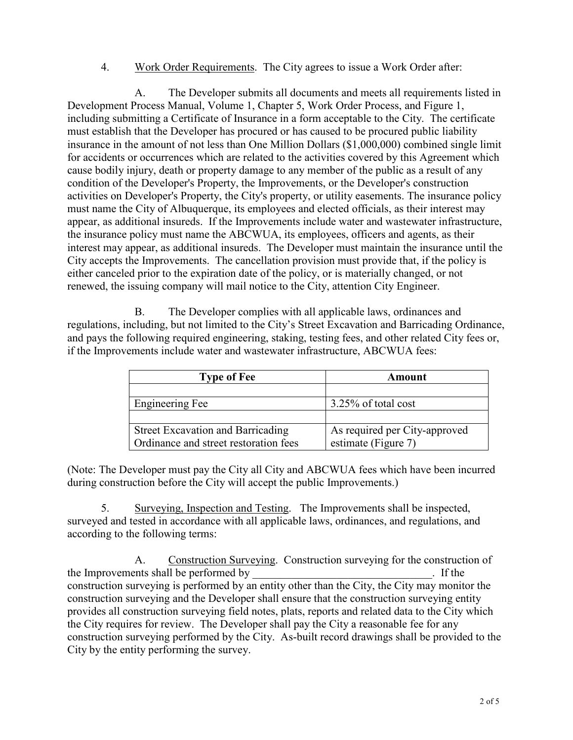## 4. Work Order Requirements. The City agrees to issue a Work Order after:

A. The Developer submits all documents and meets all requirements listed in Development Process Manual, Volume 1, Chapter 5, Work Order Process, and Figure 1, including submitting a Certificate of Insurance in a form acceptable to the City. The certificate must establish that the Developer has procured or has caused to be procured public liability insurance in the amount of not less than One Million Dollars (\$1,000,000) combined single limit for accidents or occurrences which are related to the activities covered by this Agreement which cause bodily injury, death or property damage to any member of the public as a result of any condition of the Developer's Property, the Improvements, or the Developer's construction activities on Developer's Property, the City's property, or utility easements. The insurance policy must name the City of Albuquerque, its employees and elected officials, as their interest may appear, as additional insureds. If the Improvements include water and wastewater infrastructure, the insurance policy must name the ABCWUA, its employees, officers and agents, as their interest may appear, as additional insureds. The Developer must maintain the insurance until the City accepts the Improvements. The cancellation provision must provide that, if the policy is either canceled prior to the expiration date of the policy, or is materially changed, or not renewed, the issuing company will mail notice to the City, attention City Engineer.

B. The Developer complies with all applicable laws, ordinances and regulations, including, but not limited to the City's Street Excavation and Barricading Ordinance, and pays the following required engineering, staking, testing fees, and other related City fees or, if the Improvements include water and wastewater infrastructure, ABCWUA fees:

| <b>Type of Fee</b>                       | Amount                        |
|------------------------------------------|-------------------------------|
|                                          |                               |
| Engineering Fee                          | 3.25% of total cost           |
|                                          |                               |
| <b>Street Excavation and Barricading</b> | As required per City-approved |
| Ordinance and street restoration fees    | estimate (Figure 7)           |

(Note: The Developer must pay the City all City and ABCWUA fees which have been incurred during construction before the City will accept the public Improvements.)

5. Surveying, Inspection and Testing. The Improvements shall be inspected, surveyed and tested in accordance with all applicable laws, ordinances, and regulations, and according to the following terms:

A. Construction Surveying. Construction surveying for the construction of the Improvements shall be performed by  $\overline{\phantom{a}}$ . If the construction surveying is performed by an entity other than the City, the City may monitor the construction surveying and the Developer shall ensure that the construction surveying entity provides all construction surveying field notes, plats, reports and related data to the City which the City requires for review. The Developer shall pay the City a reasonable fee for any construction surveying performed by the City. As-built record drawings shall be provided to the City by the entity performing the survey.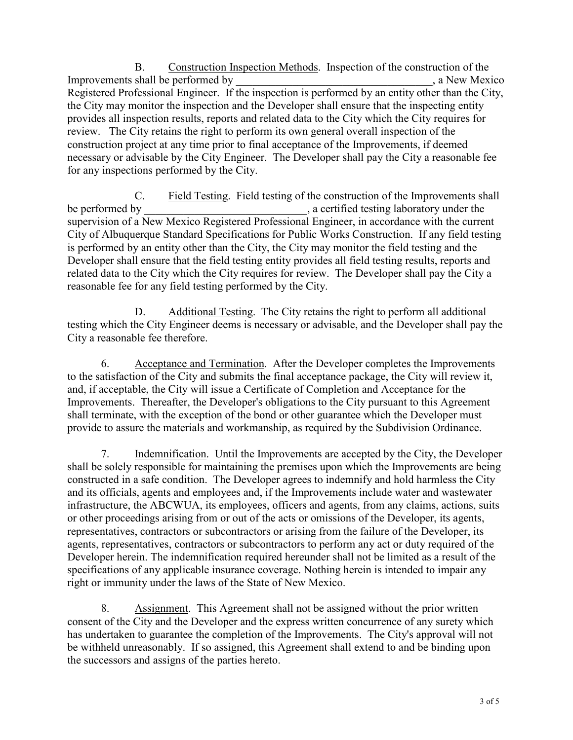B. Construction Inspection Methods. Inspection of the construction of the Improvements shall be performed by  $\Box$  a New Mexico Registered Professional Engineer. If the inspection is performed by an entity other than the City, the City may monitor the inspection and the Developer shall ensure that the inspecting entity provides all inspection results, reports and related data to the City which the City requires for review. The City retains the right to perform its own general overall inspection of the construction project at any time prior to final acceptance of the Improvements, if deemed necessary or advisable by the City Engineer. The Developer shall pay the City a reasonable fee for any inspections performed by the City.

C. Field Testing. Field testing of the construction of the Improvements shall be performed by  $\qquad \qquad$ , a certified testing laboratory under the supervision of a New Mexico Registered Professional Engineer, in accordance with the current City of Albuquerque Standard Specifications for Public Works Construction. If any field testing is performed by an entity other than the City, the City may monitor the field testing and the Developer shall ensure that the field testing entity provides all field testing results, reports and related data to the City which the City requires for review. The Developer shall pay the City a reasonable fee for any field testing performed by the City.

D. Additional Testing. The City retains the right to perform all additional testing which the City Engineer deems is necessary or advisable, and the Developer shall pay the City a reasonable fee therefore.

6. Acceptance and Termination. After the Developer completes the Improvements to the satisfaction of the City and submits the final acceptance package, the City will review it, and, if acceptable, the City will issue a Certificate of Completion and Acceptance for the Improvements. Thereafter, the Developer's obligations to the City pursuant to this Agreement shall terminate, with the exception of the bond or other guarantee which the Developer must provide to assure the materials and workmanship, as required by the Subdivision Ordinance.

7. Indemnification. Until the Improvements are accepted by the City, the Developer shall be solely responsible for maintaining the premises upon which the Improvements are being constructed in a safe condition. The Developer agrees to indemnify and hold harmless the City and its officials, agents and employees and, if the Improvements include water and wastewater infrastructure, the ABCWUA, its employees, officers and agents, from any claims, actions, suits or other proceedings arising from or out of the acts or omissions of the Developer, its agents, representatives, contractors or subcontractors or arising from the failure of the Developer, its agents, representatives, contractors or subcontractors to perform any act or duty required of the Developer herein. The indemnification required hereunder shall not be limited as a result of the specifications of any applicable insurance coverage. Nothing herein is intended to impair any right or immunity under the laws of the State of New Mexico.

8. Assignment. This Agreement shall not be assigned without the prior written consent of the City and the Developer and the express written concurrence of any surety which has undertaken to guarantee the completion of the Improvements. The City's approval will not be withheld unreasonably. If so assigned, this Agreement shall extend to and be binding upon the successors and assigns of the parties hereto.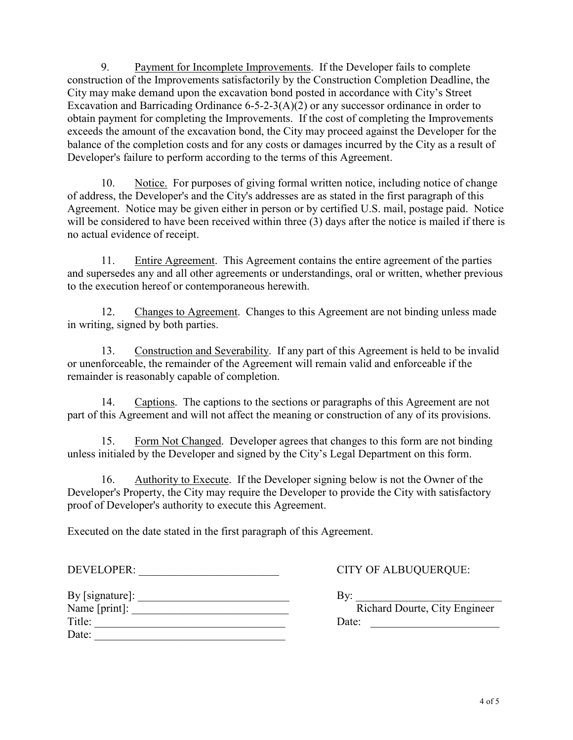9. Payment for Incomplete Improvements. If the Developer fails to complete construction of the Improvements satisfactorily by the Construction Completion Deadline, the City may make demand upon the excavation bond posted in accordance with City's Street Excavation and Barricading Ordinance 6-5-2-3(A)(2) or any successor ordinance in order to obtain payment for completing the Improvements. If the cost of completing the Improvements exceeds the amount of the excavation bond, the City may proceed against the Developer for the balance of the completion costs and for any costs or damages incurred by the City as a result of Developer's failure to perform according to the terms of this Agreement.

10. Notice. For purposes of giving formal written notice, including notice of change of address, the Developer's and the City's addresses are as stated in the first paragraph of this Agreement. Notice may be given either in person or by certified U.S. mail, postage paid. Notice will be considered to have been received within three (3) days after the notice is mailed if there is no actual evidence of receipt.

11. Entire Agreement. This Agreement contains the entire agreement of the parties and supersedes any and all other agreements or understandings, oral or written, whether previous to the execution hereof or contemporaneous herewith.

12. Changes to Agreement. Changes to this Agreement are not binding unless made in writing, signed by both parties.

13. Construction and Severability. If any part of this Agreement is held to be invalid or unenforceable, the remainder of the Agreement will remain valid and enforceable if the remainder is reasonably capable of completion.

14. Captions. The captions to the sections or paragraphs of this Agreement are not part of this Agreement and will not affect the meaning or construction of any of its provisions.

15. Form Not Changed. Developer agrees that changes to this form are not binding unless initialed by the Developer and signed by the City's Legal Department on this form.

16. Authority to Execute. If the Developer signing below is not the Owner of the Developer's Property, the City may require the Developer to provide the City with satisfactory proof of Developer's authority to execute this Agreement.

Executed on the date stated in the first paragraph of this Agreement.

DEVELOPER: \_\_\_\_\_\_\_\_\_\_\_\_\_\_\_\_\_\_\_\_\_\_\_\_\_ CITY OF ALBUQUERQUE:

| By [signature]: |  |
|-----------------|--|
| Name [print]:   |  |
| Title:          |  |
| Date:           |  |
|                 |  |

 $\exists y:$ Richard Dourte, City Engineer Date:  $\frac{1}{\sqrt{1-\frac{1}{2}}\sqrt{1-\frac{1}{2}}\sqrt{1-\frac{1}{2}}\sqrt{1-\frac{1}{2}}\sqrt{1-\frac{1}{2}}$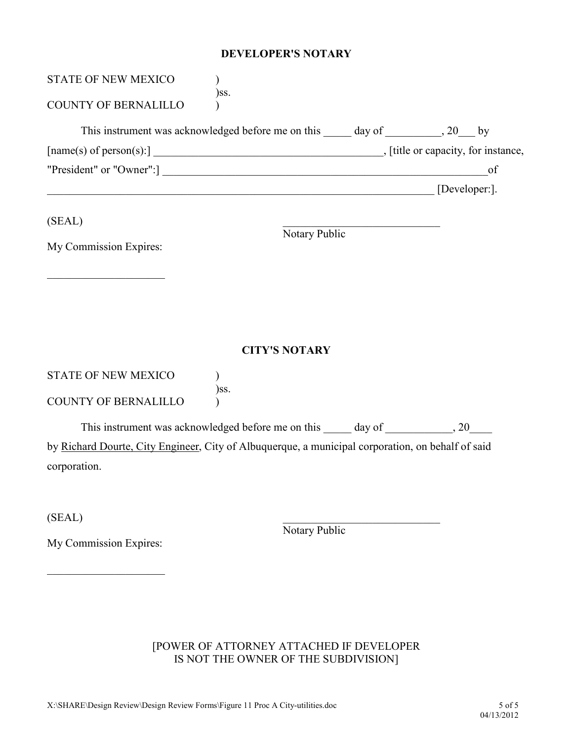#### DEVELOPER'S NOTARY

| <b>STATE OF NEW MEXICO</b>                                                                        |                      |    |
|---------------------------------------------------------------------------------------------------|----------------------|----|
| )ss.<br><b>COUNTY OF BERNALILLO</b>                                                               |                      |    |
| This instrument was acknowledged before me on this ______ day of __________, 20___ by             |                      |    |
|                                                                                                   |                      |    |
| "President" or "Owner":]                                                                          |                      | of |
| $[Developer: ]$                                                                                   |                      |    |
| (SEAL)                                                                                            | Notary Public        |    |
| My Commission Expires:                                                                            |                      |    |
|                                                                                                   |                      |    |
|                                                                                                   |                      |    |
|                                                                                                   |                      |    |
|                                                                                                   | <b>CITY'S NOTARY</b> |    |
| <b>STATE OF NEW MEXICO</b>                                                                        |                      |    |
| )ss.<br><b>COUNTY OF BERNALILLO</b>                                                               |                      |    |
| This instrument was acknowledged before me on this ______ day of _____________, 20_____           |                      |    |
| by Richard Dourte, City Engineer, City of Albuquerque, a municipal corporation, on behalf of said |                      |    |
| corporation.                                                                                      |                      |    |
|                                                                                                   |                      |    |
| (SEAL)                                                                                            |                      |    |
| My Commission Expires:                                                                            | Notary Public        |    |
|                                                                                                   |                      |    |

# [POWER OF ATTORNEY ATTACHED IF DEVELOPER IS NOT THE OWNER OF THE SUBDIVISION]